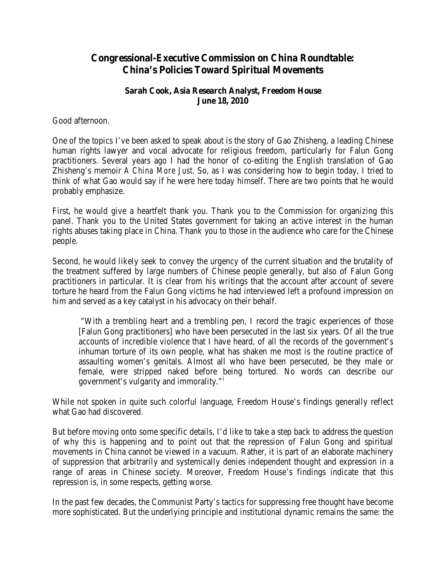## **Congressional-Executive Commission on China Roundtable: China's Policies Toward Spiritual Movements**

## **Sarah Cook, Asia Research Analyst, Freedom House June 18, 2010**

Good afternoon.

One of the topics I've been asked to speak about is the story of Gao Zhisheng, a leading Chinese human rights lawyer and vocal advocate for religious freedom, particularly for Falun Gong practitioners. Several years ago I had the honor of co-editing the English translation of Gao Zhisheng's memoir *A China More Just*. So, as I was considering how to begin today, I tried to think of what Gao would say if he were here today himself. There are two points that he would probably emphasize.

First, he would give a heartfelt thank you. Thank you to the Commission for organizing this panel. Thank you to the United States government for taking an active interest in the human rights abuses taking place in China. Thank you to those in the audience who care for the Chinese people.

Second, he would likely seek to convey the urgency of the current situation and the brutality of the treatment suffered by large numbers of Chinese people generally, but also of Falun Gong practitioners in particular. It is clear from his writings that the account after account of severe torture he heard from the Falun Gong victims he had interviewed left a profound impression on him and served as a key catalyst in his advocacy on their behalf.

"With a trembling heart and a trembling pen, I record the tragic experiences of those [Falun Gong practitioners] who have been persecuted in the last six years. Of all the true accounts of incredible violence that I have heard, of all the records of the government's inhuman torture of its own people, what has shaken me most is the routine practice of assaulting women's genitals. Almost all who have been persecuted, be they male or female, were stripped naked before being tortured. No words can describe our government's vulgarity and immorality."[i](#page-2-0)

While not spoken in quite such colorful language, Freedom House's findings generally reflect what Gao had discovered.

But before moving onto some specific details, I'd like to take a step back to address the question of why this is happening and to point out that the repression of Falun Gong and spiritual movements in China cannot be viewed in a vacuum. Rather, it is part of an elaborate machinery of suppression that arbitrarily and systemically denies independent thought and expression in a range of areas in Chinese society. Moreover, Freedom House's findings indicate that this repression is, in some respects, getting worse.

In the past few decades, the Communist Party's tactics for suppressing free thought have become more sophisticated. But the underlying principle and institutional dynamic remains the same: the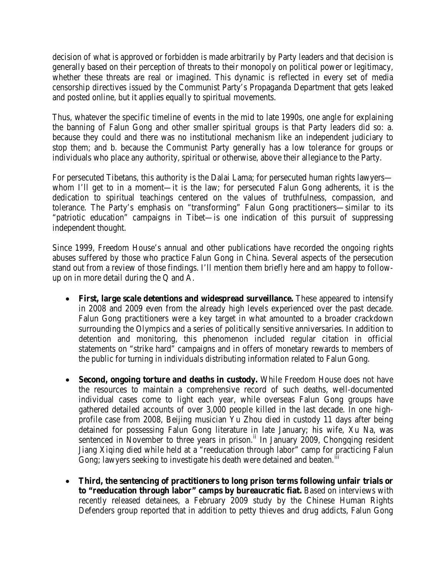decision of what is approved or forbidden is made arbitrarily by Party leaders and that decision is generally based on their perception of threats to their monopoly on political power or legitimacy, whether these threats are real or imagined. This dynamic is reflected in every set of media censorship directives issued by the Communist Party's Propaganda Department that gets leaked and posted online, but it applies equally to spiritual movements.

Thus, whatever the specific timeline of events in the mid to late 1990s, one angle for explaining the banning of Falun Gong and other smaller spiritual groups is that Party leaders did so: a. because they could and there was no institutional mechanism like an independent judiciary to stop them; and b. because the Communist Party generally has a low tolerance for groups or individuals who place any authority, spiritual or otherwise, above their allegiance to the Party.

For persecuted Tibetans, this authority is the Dalai Lama; for persecuted human rights lawyers whom I'll get to in a moment—it is the law; for persecuted Falun Gong adherents, it is the dedication to spiritual teachings centered on the values of truthfulness, compassion, and tolerance. The Party's emphasis on "transforming" Falun Gong practitioners—similar to its "patriotic education" campaigns in Tibet—is one indication of this pursuit of suppressing independent thought.

Since 1999, Freedom House's annual and other publications have recorded the ongoing rights abuses suffered by those who practice Falun Gong in China. Several aspects of the persecution stand out from a review of those findings. I'll mention them briefly here and am happy to followup on in more detail during the Q and A.

- **First, large scale detentions and widespread surveillance.** These appeared to intensify in 2008 and 2009 even from the already high levels experienced over the past decade. Falun Gong practitioners were a key target in what amounted to a broader crackdown surrounding the Olympics and a series of politically sensitive anniversaries. In addition to detention and monitoring, this phenomenon included regular citation in official statements on "strike hard" campaigns and in offers of monetary rewards to members of the public for turning in individuals distributing information related to Falun Gong.
- **Second, ongoing torture and deaths in custody.** While Freedom House does not have the resources to maintain a comprehensive record of such deaths, well-documented individual cases come to light each year, while overseas Falun Gong groups have gathered detailed accounts of over 3,000 people killed in the last decade. In one highprofile case from 2008, Beijing musician Yu Zhou died in custody 11 days after being detained for possessing Falun Gong literature in late January; his wife, Xu Na, was sentenced in November to three years in prison.<sup>[ii](#page-2-1)</sup> In January 2009, Chongqing resident Jiang Xiqing died while held at a "reeducation through labor" camp for practicing Falun Gong; lawyers seeking to investigate his death were detained and beaten.<sup>[iii](#page-2-2)</sup>
- **Third, the sentencing of practitioners to long prison terms following unfair trials or to "reeducation through labor" camps by bureaucratic fiat.** Based on interviews with recently released detainees, a February 2009 study by the Chinese Human Rights Defenders group reported that in addition to petty thieves and drug addicts, Falun Gong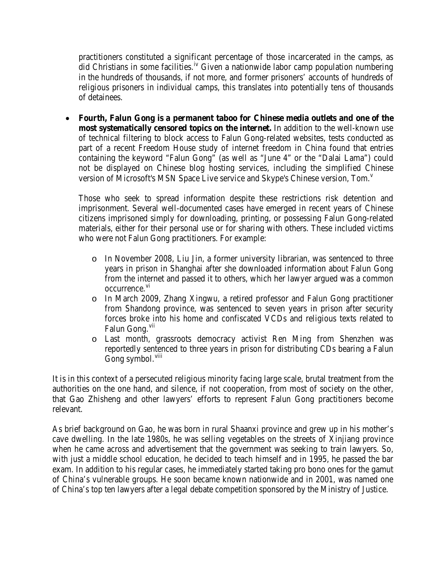practitioners constituted a significant percentage of those incarcerated in the camps, as did Christians in some facilities.<sup>[iv](#page-2-3)</sup> Given a nationwide labor camp population numbering in the hundreds of thousands, if not more, and former prisoners' accounts of hundreds of religious prisoners in individual camps, this translates into potentially tens of thousands of detainees.

• **Fourth, Falun Gong is a permanent taboo for Chinese media outlets and one of the most systematically censored topics on the internet.** In addition to the well-known use of technical filtering to block access to Falun Gong-related websites, tests conducted as part of a recent Freedom House study of internet freedom in China found that entries containing the keyword "Falun Gong" (as well as "June 4" or the "Dalai Lama") could not be displayed on Chinese blog hosting services, including the simplified Chinese [v](#page-2-4)ersion of Microsoft's MSN Space Live service and Skype's Chinese version, Tom.<sup>v</sup>

Those who seek to spread information despite these restrictions risk detention and imprisonment. Several well-documented cases have emerged in recent years of Chinese citizens imprisoned simply for downloading, printing, or possessing Falun Gong-related materials, either for their personal use or for sharing with others. These included victims who were not Falun Gong practitioners. For example:

- <span id="page-2-2"></span><span id="page-2-1"></span><span id="page-2-0"></span>o In November 2008, Liu Jin, a former university librarian, was sentenced to three years in prison in Shanghai after she downloaded information about Falun Gong from the internet and passed it to others, which her lawyer argued was a common occurrence.<sup>[vi](#page-2-5)</sup>
- <span id="page-2-3"></span>o In March 2009, Zhang Xingwu, a retired professor and Falun Gong practitioner from Shandong province, was sentenced to seven years in prison after security forces broke into his home and confiscated VCDs and religious texts related to Falun Gong.<sup>[vii](#page-2-6)</sup>
- o Last month, grassroots democracy activist Ren Ming from Shenzhen was reportedly sentenced to three years in prison for distributing CDs bearing a Falun Gong symbol.<sup>[viii](#page-2-7)</sup>

<span id="page-2-9"></span><span id="page-2-8"></span><span id="page-2-7"></span><span id="page-2-6"></span><span id="page-2-5"></span><span id="page-2-4"></span>It is in this context of a persecuted religious minority facing large scale, brutal treatment from the authorities on the one hand, and silence, if not cooperation, from most of society on the other, that Gao Zhisheng and other lawyers' efforts to represent Falun Gong practitioners become relevant.

As brief background on Gao, he was born in rural Shaanxi province and grew up in his mother's cave dwelling. In the late 1980s, he was selling vegetables on the streets of Xinjiang province when he came across and advertisement that the government was seeking to train lawyers. So, with just a middle school education, he decided to teach himself and in 1995, he passed the bar exam. In addition to his regular cases, he immediately started taking pro bono ones for the gamut of China's vulnerable groups. He soon became known nationwide and in 2001, was named one of China's top ten lawyers after a legal debate competition sponsored by the Ministry of Justice.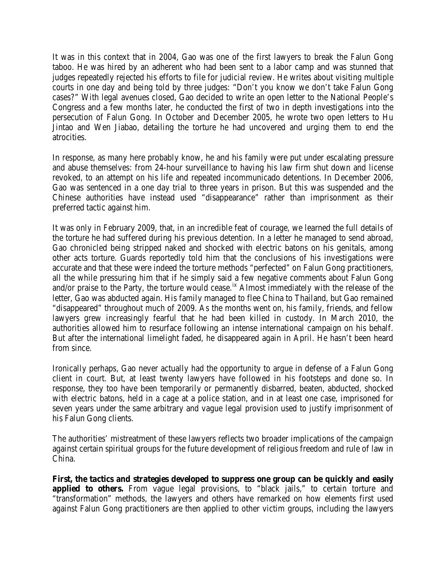It was in this context that in 2004, Gao was one of the first lawyers to break the Falun Gong taboo. He was hired by an adherent who had been sent to a labor camp and was stunned that judges repeatedly rejected his efforts to file for judicial review. He writes about visiting multiple courts in one day and being told by three judges: "Don't you know we don't take Falun Gong cases?" With legal avenues closed, Gao decided to write an open letter to the National People's Congress and a few months later, he conducted the first of two in depth investigations into the persecution of Falun Gong. In October and December 2005, he wrote two open letters to Hu Jintao and Wen Jiabao, detailing the torture he had uncovered and urging them to end the atrocities.

In response, as many here probably know, he and his family were put under escalating pressure and abuse themselves: from 24-hour surveillance to having his law firm shut down and license revoked, to an attempt on his life and repeated incommunicado detentions. In December 2006, Gao was sentenced in a one day trial to three years in prison. But this was suspended and the Chinese authorities have instead used "disappearance" rather than imprisonment as their preferred tactic against him.

It was only in February 2009, that, in an incredible feat of courage, we learned the full details of the torture he had suffered during his previous detention. In a letter he managed to send abroad, Gao chronicled being stripped naked and shocked with electric batons on his genitals, among other acts torture. Guards reportedly told him that the conclusions of his investigations were accurate and that these were indeed the torture methods "perfected" on Falun Gong practitioners, all the while pressuring him that if he simply said a few negative comments about Falun Gong and/or praise to the Party, the torture would cease.<sup>[ix](#page-2-8)</sup> Almost immediately with the release of the letter, Gao was abducted again. His family managed to flee China to Thailand, but Gao remained "disappeared" throughout much of 2009. As the months went on, his family, friends, and fellow lawyers grew increasingly fearful that he had been killed in custody. In March 2010, the authorities allowed him to resurface following an intense international campaign on his behalf. But after the international limelight faded, he disappeared again in April. He hasn't been heard from since.

Ironically perhaps, Gao never actually had the opportunity to argue in defense of a Falun Gong client in court. But, at least twenty lawyers have followed in his footsteps and done so. In response, they too have been temporarily or permanently disbarred, beaten, abducted, shocked with electric batons, held in a cage at a police station, and in at least one case, imprisoned for seven years under the same arbitrary and vague legal provision used to justify imprisonment of his Falun Gong clients.

The authorities' mistreatment of these lawyers reflects two broader implications of the campaign against certain spiritual groups for the future development of religious freedom and rule of law in China.

**First, the tactics and strategies developed to suppress one group can be quickly and easily applied to others.** From vague legal provisions, to "black jails," to certain torture and "transformation" methods, the lawyers and others have remarked on how elements first used against Falun Gong practitioners are then applied to other victim groups, including the lawyers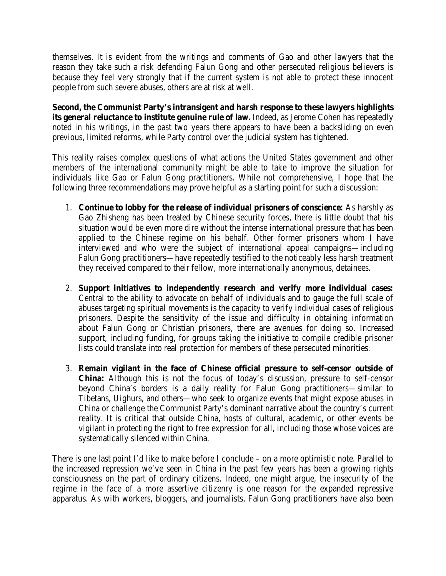themselves. It is evident from the writings and comments of Gao and other lawyers that the reason they take such a risk defending Falun Gong and other persecuted religious believers is because they feel very strongly that if the current system is not able to protect these innocent people from such severe abuses, others are at risk at well.

**Second, the Communist Party's intransigent and harsh response to these lawyers highlights its general reluctance to institute genuine rule of law.** Indeed, as Jerome Cohen has repeatedly noted in his writings, in the past two years there appears to have been a backsliding on even previous, limited reforms, while Party control over the judicial system has tightened.

This reality raises complex questions of what actions the United States government and other members of the international community might be able to take to improve the situation for individuals like Gao or Falun Gong practitioners. While not comprehensive, I hope that the following three recommendations may prove helpful as a starting point for such a discussion:

- 1. **Continue to lobby for the release of individual prisoners of conscience:** As harshly as Gao Zhisheng has been treated by Chinese security forces, there is little doubt that his situation would be even more dire without the intense international pressure that has been applied to the Chinese regime on his behalf. Other former prisoners whom I have interviewed and who were the subject of international appeal campaigns—including Falun Gong practitioners—have repeatedly testified to the noticeably less harsh treatment they received compared to their fellow, more internationally anonymous, detainees.
- 2. **Support initiatives to independently research and verify more individual cases:**  Central to the ability to advocate on behalf of individuals and to gauge the full scale of abuses targeting spiritual movements is the capacity to verify individual cases of religious prisoners. Despite the sensitivity of the issue and difficulty in obtaining information about Falun Gong or Christian prisoners, there are avenues for doing so. Increased support, including funding, for groups taking the initiative to compile credible prisoner lists could translate into real protection for members of these persecuted minorities.
- 3. **Remain vigilant in the face of Chinese official pressure to self-censor outside of China:** Although this is not the focus of today's discussion, pressure to self-censor beyond China's borders is a daily reality for Falun Gong practitioners—similar to Tibetans, Uighurs, and others—who seek to organize events that might expose abuses in China or challenge the Communist Party's dominant narrative about the country's current reality. It is critical that outside China, hosts of cultural, academic, or other events be vigilant in protecting the right to free expression for all, including those whose voices are systematically silenced within China.

There is one last point I'd like to make before I conclude – on a more optimistic note. Parallel to the increased repression we've seen in China in the past few years has been a growing rights consciousness on the part of ordinary citizens. Indeed, one might argue, the insecurity of the regime in the face of a more assertive citizenry is one reason for the expanded repressive apparatus. As with workers, bloggers, and journalists, Falun Gong practitioners have also been